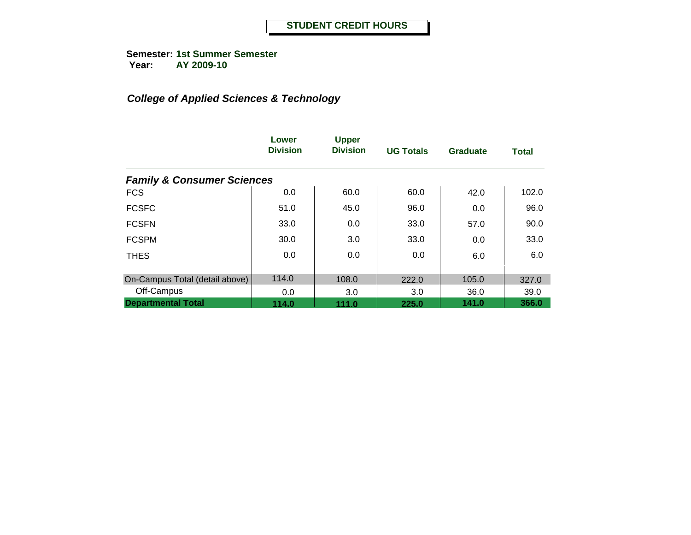**Semester: 1st Summer Semester Year: AY 2009-10**

|                                       | Lower<br><b>Division</b> | <b>Upper</b><br><b>Division</b> | <b>UG Totals</b> | Graduate | <b>Total</b> |
|---------------------------------------|--------------------------|---------------------------------|------------------|----------|--------------|
| <b>Family &amp; Consumer Sciences</b> |                          |                                 |                  |          |              |
| <b>FCS</b>                            | 0.0                      | 60.0                            | 60.0             | 42.0     | 102.0        |
| <b>FCSFC</b>                          | 51.0                     | 45.0                            | 96.0             | 0.0      | 96.0         |
| <b>FCSFN</b>                          | 33.0                     | 0.0                             | 33.0             | 57.0     | 90.0         |
| <b>FCSPM</b>                          | 30.0                     | 3.0                             | 33.0             | 0.0      | 33.0         |
| <b>THES</b>                           | 0.0                      | 0.0                             | 0.0              | 6.0      | 6.0          |
| On-Campus Total (detail above)        | 114.0                    | 108.0                           | 222.0            | 105.0    | 327.0        |
| Off-Campus                            | 0.0                      | 3.0                             | 3.0              | 36.0     | 39.0         |
| <b>Departmental Total</b>             | 114.0                    | 111.0                           | 225.0            | 141.0    | 366.0        |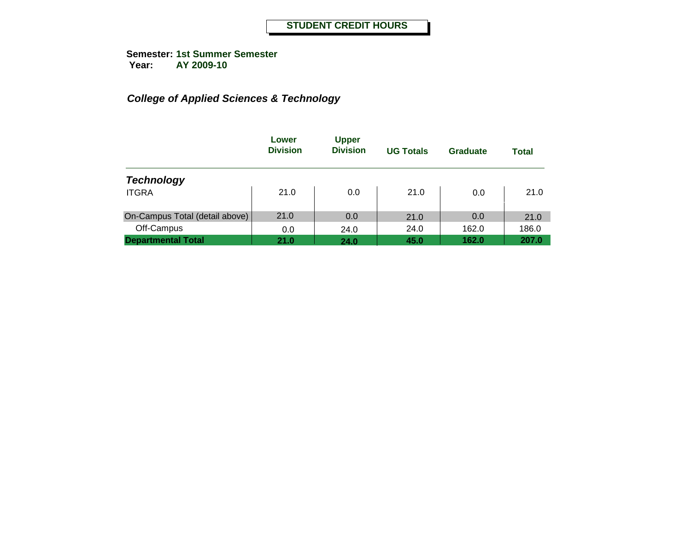|                                | Lower<br><b>Division</b> | <b>Upper</b><br><b>Division</b> | <b>UG Totals</b> | Graduate | <b>Total</b> |
|--------------------------------|--------------------------|---------------------------------|------------------|----------|--------------|
| <b>Technology</b>              |                          |                                 |                  |          |              |
| <b>ITGRA</b>                   | 21.0                     | 0.0                             | 21.0             | 0.0      | 21.0         |
| On-Campus Total (detail above) | 21.0                     | 0.0                             | 21.0             | 0.0      | 21.0         |
| Off-Campus                     | 0.0                      | 24.0                            | 24.0             | 162.0    | 186.0        |
| <b>Departmental Total</b>      | 21.0                     | 24.0                            | 45.0             | 162.0    | 207.0        |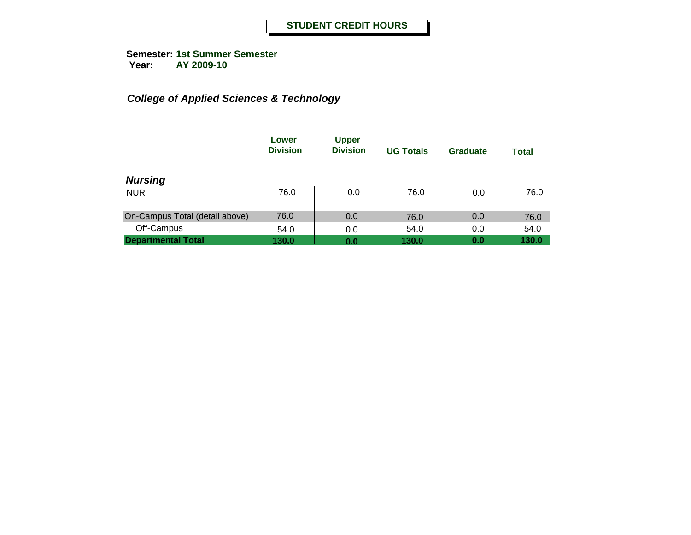|                                | Lower<br><b>Division</b> | <b>Upper</b><br><b>Division</b> | <b>UG Totals</b> | Graduate | <b>Total</b> |
|--------------------------------|--------------------------|---------------------------------|------------------|----------|--------------|
| <b>Nursing</b>                 |                          |                                 |                  |          |              |
| <b>NUR</b>                     | 76.0                     | 0.0                             | 76.0             | 0.0      | 76.0         |
| On-Campus Total (detail above) | 76.0                     | 0.0                             | 76.0             | 0.0      | 76.0         |
| Off-Campus                     | 54.0                     | 0.0                             | 54.0             | 0.0      | 54.0         |
| <b>Departmental Total</b>      | 130.0                    | 0.0                             | 130.0            | 0.0      | 130.0        |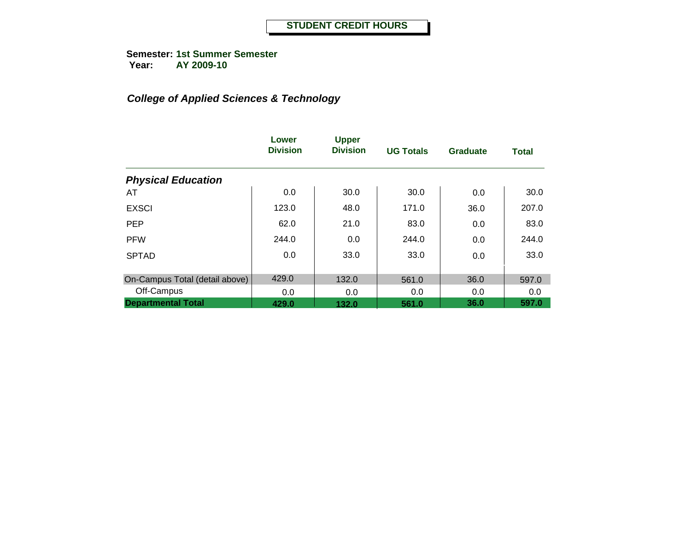**Semester: 1st Summer Semester Year: AY 2009-10**

|                                | Lower<br><b>Division</b> | <b>Upper</b><br><b>Division</b> | <b>UG Totals</b> | <b>Graduate</b> | <b>Total</b> |
|--------------------------------|--------------------------|---------------------------------|------------------|-----------------|--------------|
| <b>Physical Education</b>      |                          |                                 |                  |                 |              |
| AT                             | 0.0                      | 30.0                            | 30.0             | 0.0             | 30.0         |
| <b>EXSCI</b>                   | 123.0                    | 48.0                            | 171.0            | 36.0            | 207.0        |
| <b>PEP</b>                     | 62.0                     | 21.0                            | 83.0             | 0.0             | 83.0         |
| <b>PFW</b>                     | 244.0                    | 0.0                             | 244.0            | 0.0             | 244.0        |
| <b>SPTAD</b>                   | 0.0                      | 33.0                            | 33.0             | 0.0             | 33.0         |
|                                |                          |                                 |                  |                 |              |
| On-Campus Total (detail above) | 429.0                    | 132.0                           | 561.0            | 36.0            | 597.0        |
| Off-Campus                     | 0.0                      | 0.0                             | 0.0              | 0.0             | 0.0          |
| <b>Departmental Total</b>      | 429.0                    | 132.0                           | 561.0            | 36.0            | 597.0        |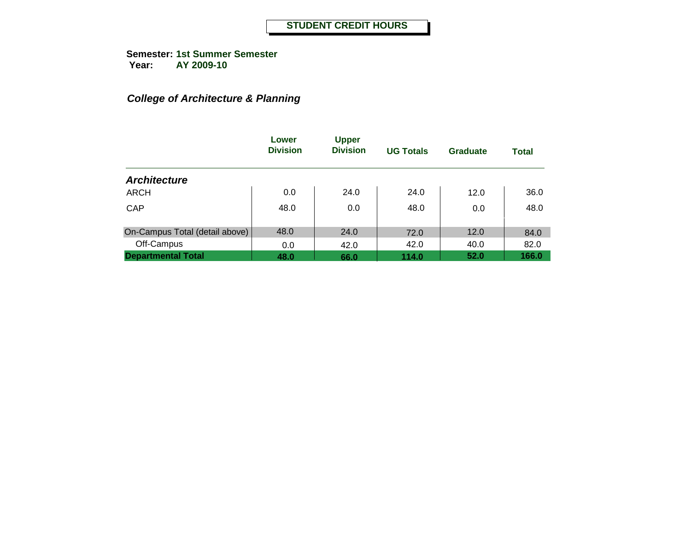## *College of Architecture & Planning*

|                                | Lower<br><b>Division</b> | <b>Upper</b><br><b>Division</b> | <b>UG Totals</b> | <b>Graduate</b> | <b>Total</b> |
|--------------------------------|--------------------------|---------------------------------|------------------|-----------------|--------------|
| <b>Architecture</b>            |                          |                                 |                  |                 |              |
| <b>ARCH</b>                    | 0.0                      | 24.0                            | 24.0             | 12.0            | 36.0         |
| CAP                            | 48.0                     | 0.0                             | 48.0             | 0.0             | 48.0         |
| On-Campus Total (detail above) | 48.0                     | 24.0                            | 72.0             | 12.0            | 84.0         |
| Off-Campus                     | 0.0                      | 42.0                            | 42.0             | 40.0            | 82.0         |
| <b>Departmental Total</b>      | 48.0                     | 66.0                            | 114.0            | 52.0            | 166.0        |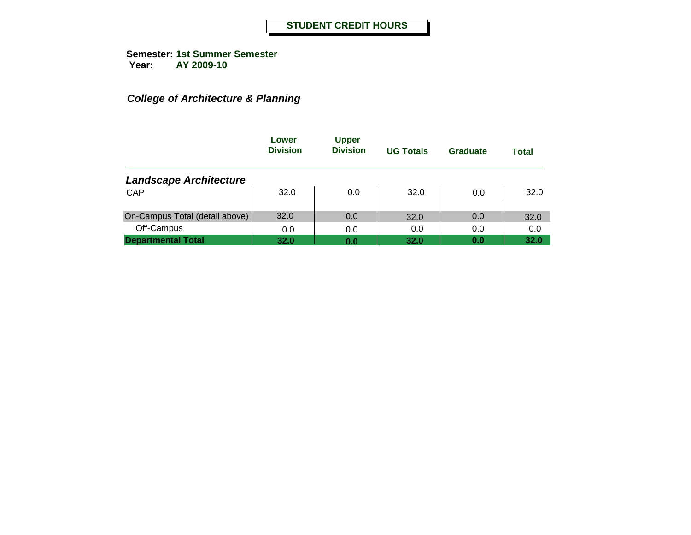## *College of Architecture & Planning*

|                                | Lower<br><b>Division</b> | <b>Upper</b><br><b>Division</b> | <b>UG Totals</b> | Graduate | Total |
|--------------------------------|--------------------------|---------------------------------|------------------|----------|-------|
| <b>Landscape Architecture</b>  |                          |                                 |                  |          |       |
| <b>CAP</b>                     | 32.0                     | 0.0                             | 32.0             | 0.0      | 32.0  |
| On-Campus Total (detail above) | 32.0                     | 0.0                             | 32.0             | 0.0      | 32.0  |
| Off-Campus                     | 0.0                      | 0.0                             | 0.0              | 0.0      | 0.0   |
| <b>Departmental Total</b>      | 32.0                     | 0.0                             | 32.0             | 0.0      | 32.0  |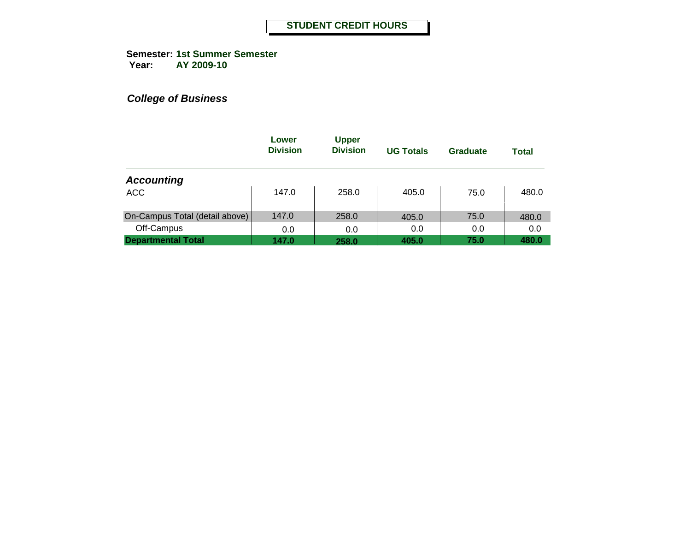**Semester: 1st Summer Semester Year: AY 2009-10**

|                                | Lower<br><b>Division</b> | <b>Upper</b><br><b>Division</b> | <b>UG Totals</b> | Graduate | <b>Total</b> |
|--------------------------------|--------------------------|---------------------------------|------------------|----------|--------------|
| <b>Accounting</b>              |                          |                                 |                  |          |              |
| <b>ACC</b>                     | 147.0                    | 258.0                           | 405.0            | 75.0     | 480.0        |
| On-Campus Total (detail above) | 147.0                    | 258.0                           | 405.0            | 75.0     | 480.0        |
| Off-Campus                     | 0.0                      | 0.0                             | 0.0              | 0.0      | 0.0          |
| <b>Departmental Total</b>      | 147.0                    | 258.0                           | 405.0            | 75.0     | 480.0        |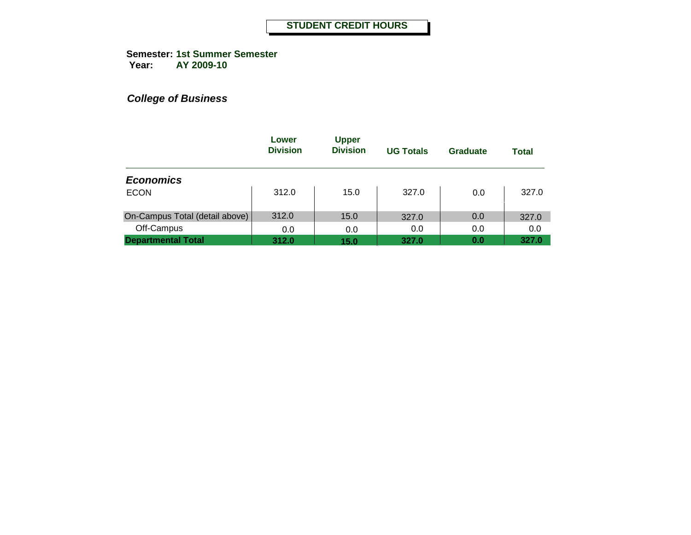**Semester: 1st Summer Semester Year: AY 2009-10**

|                                | Lower<br><b>Division</b> | <b>Upper</b><br><b>Division</b> | <b>UG Totals</b> | <b>Graduate</b> | <b>Total</b> |
|--------------------------------|--------------------------|---------------------------------|------------------|-----------------|--------------|
| <b>Economics</b>               |                          |                                 |                  |                 |              |
| <b>ECON</b>                    | 312.0                    | 15.0                            | 327.0            | 0.0             | 327.0        |
| On-Campus Total (detail above) | 312.0                    | 15.0                            | 327.0            | 0.0             | 327.0        |
| Off-Campus                     | 0.0                      | 0.0                             | 0.0              | 0.0             | 0.0          |
| <b>Departmental Total</b>      | 312.0                    | 15.0                            | 327.0            | 0.0             | 327.0        |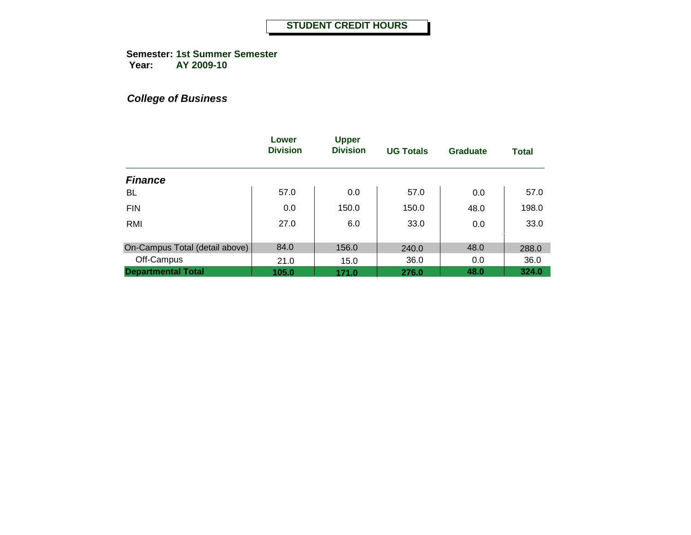**Semester: 1st Summer Semester Year: AY 2009-10**

|                                | Lower<br><b>Division</b> | <b>Upper</b><br><b>Division</b> | <b>UG Totals</b> | Graduate | <b>Total</b> |
|--------------------------------|--------------------------|---------------------------------|------------------|----------|--------------|
| <b>Finance</b>                 |                          |                                 |                  |          |              |
| BL                             | 57.0                     | 0.0                             | 57.0             | 0.0      | 57.0         |
| <b>FIN</b>                     | 0.0                      | 150.0                           | 150.0            | 48.0     | 198.0        |
| RMI                            | 27.0                     | 6.0                             | 33.0             | 0.0      | 33.0         |
|                                |                          |                                 |                  |          |              |
| On-Campus Total (detail above) | 84.0                     | 156.0                           | 240.0            | 48.0     | 288.0        |
| Off-Campus                     | 21.0                     | 15.0                            | 36.0             | 0.0      | 36.0         |
| <b>Departmental Total</b>      | 105.0                    | 171.0                           | 276.0            | 48.0     | 324.0        |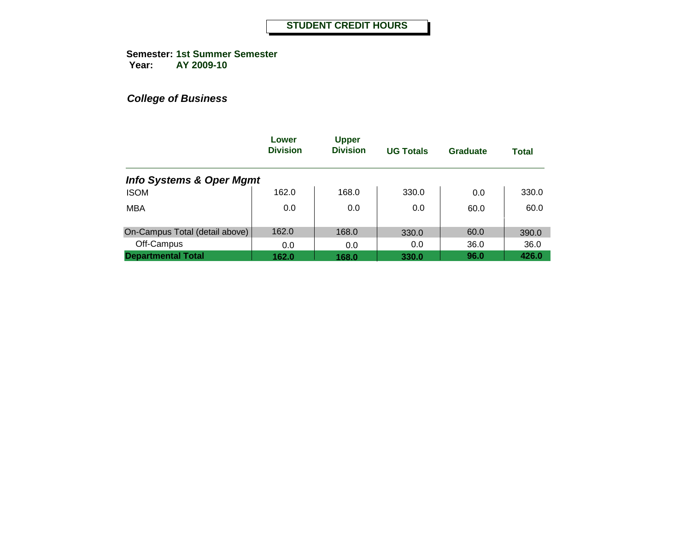**Semester: 1st Summer Semester Year: AY 2009-10**

|                                     | Lower<br><b>Division</b> | <b>Upper</b><br><b>Division</b> | <b>UG Totals</b> | <b>Graduate</b> | <b>Total</b> |
|-------------------------------------|--------------------------|---------------------------------|------------------|-----------------|--------------|
| <b>Info Systems &amp; Oper Mgmt</b> |                          |                                 |                  |                 |              |
| <b>ISOM</b>                         | 162.0                    | 168.0                           | 330.0            | 0.0             | 330.0        |
| <b>MBA</b>                          | 0.0                      | 0.0                             | 0.0              | 60.0            | 60.0         |
| On-Campus Total (detail above)      | 162.0                    | 168.0                           | 330.0            | 60.0            | 390.0        |
| Off-Campus                          | 0.0                      | 0.0                             | 0.0              | 36.0            | 36.0         |
| <b>Departmental Total</b>           | 162.0                    | 168.0                           | 330.0            | 96.0            | 426.0        |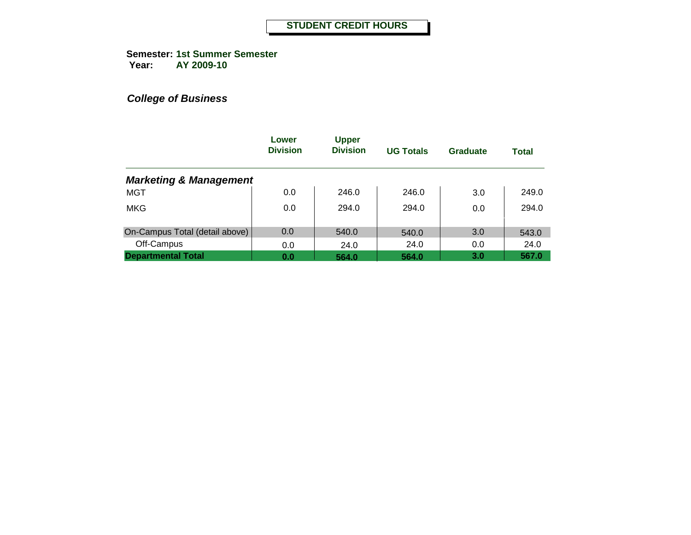**Semester: 1st Summer Semester Year: AY 2009-10**

|                                   | Lower<br><b>Division</b> | <b>Upper</b><br><b>Division</b> | <b>UG Totals</b> | Graduate | <b>Total</b> |
|-----------------------------------|--------------------------|---------------------------------|------------------|----------|--------------|
| <b>Marketing &amp; Management</b> |                          |                                 |                  |          |              |
| <b>MGT</b>                        | 0.0                      | 246.0                           | 246.0            | 3.0      | 249.0        |
| <b>MKG</b>                        | 0.0                      | 294.0                           | 294.0            | 0.0      | 294.0        |
| On-Campus Total (detail above)    | 0.0                      | 540.0                           | 540.0            | 3.0      | 543.0        |
| Off-Campus                        | 0.0                      | 24.0                            | 24.0             | 0.0      | 24.0         |
| <b>Departmental Total</b>         | 0.0                      | 564.0                           | 564.0            | 3.0      | 567.0        |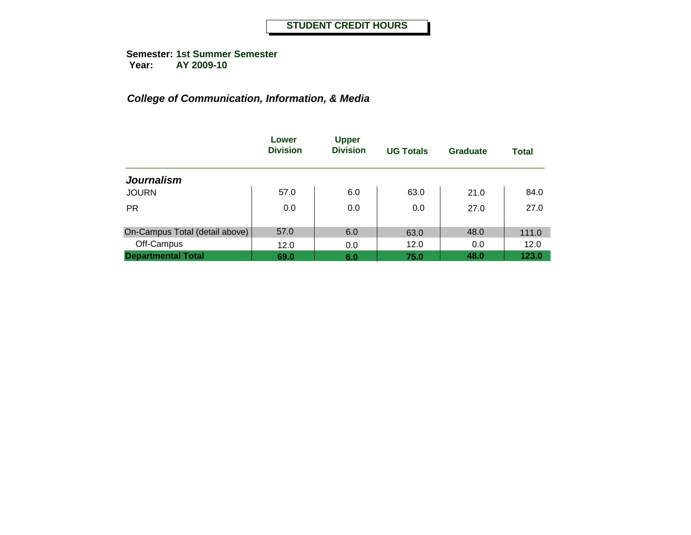### *College of Communication, Information, & Media*

|                                | Lower<br><b>Division</b> | <b>Upper</b><br><b>Division</b> | <b>UG Totals</b> | <b>Graduate</b> | <b>Total</b> |
|--------------------------------|--------------------------|---------------------------------|------------------|-----------------|--------------|
| <b>Journalism</b>              |                          |                                 |                  |                 |              |
| <b>JOURN</b>                   | 57.0                     | 6.0                             | 63.0             | 21.0            | 84.0         |
| <b>PR</b>                      | 0.0                      | 0.0                             | 0.0              | 27.0            | 27.0         |
| On-Campus Total (detail above) | 57.0                     | 6.0                             | 63.0             | 48.0            | 111.0        |
| Off-Campus                     | 12.0                     | 0.0                             | 12.0             | 0.0             | 12.0         |
| <b>Departmental Total</b>      | 69.0                     | 6.0                             | 75.0             | 48.0            | 123.0        |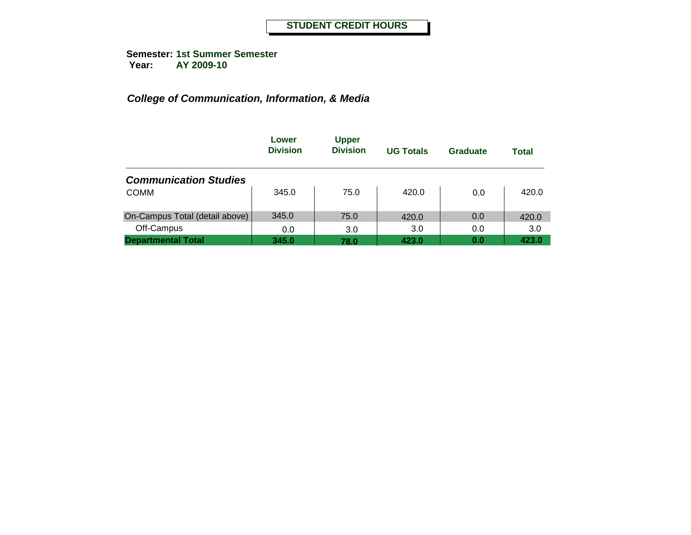### *College of Communication, Information, & Media*

|                                | Lower<br><b>Division</b> | <b>Upper</b><br><b>Division</b> | <b>UG Totals</b> | Graduate | <b>Total</b> |
|--------------------------------|--------------------------|---------------------------------|------------------|----------|--------------|
| <b>Communication Studies</b>   |                          |                                 |                  |          |              |
| <b>COMM</b>                    | 345.0                    | 75.0                            | 420.0            | 0.0      | 420.0        |
| On-Campus Total (detail above) | 345.0                    | 75.0                            | 420.0            | 0.0      | 420.0        |
| Off-Campus                     | 0.0                      | 3.0                             | 3.0              | 0.0      | 3.0          |
| <b>Departmental Total</b>      | 345.0                    | 78.0                            | 423.0            | 0.0      | 423.0        |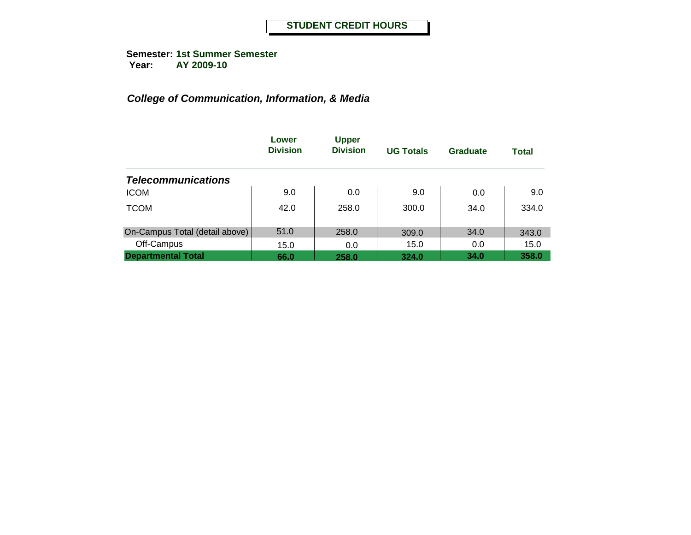### *College of Communication, Information, & Media*

|                                | Lower<br><b>Division</b> | <b>Upper</b><br><b>Division</b> | <b>UG Totals</b> | Graduate | <b>Total</b> |
|--------------------------------|--------------------------|---------------------------------|------------------|----------|--------------|
| <b>Telecommunications</b>      |                          |                                 |                  |          |              |
| <b>ICOM</b>                    | 9.0                      | 0.0                             | 9.0              | 0.0      | 9.0          |
| <b>TCOM</b>                    | 42.0                     | 258.0                           | 300.0            | 34.0     | 334.0        |
| On-Campus Total (detail above) | 51.0                     | 258.0                           | 309.0            | 34.0     | 343.0        |
| Off-Campus                     | 15.0                     | 0.0                             | 15.0             | 0.0      | 15.0         |
| <b>Departmental Total</b>      | 66.0                     | 258.0                           | 324.0            | 34.0     | 358.0        |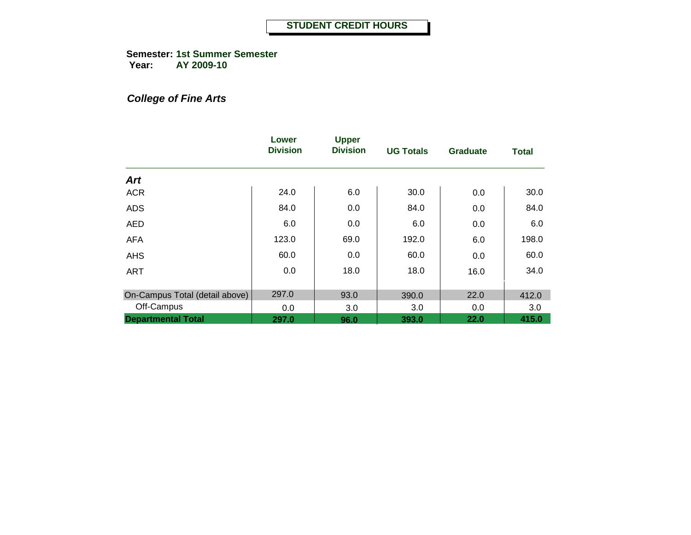**Semester: 1st Summer Semester Year: AY 2009-10**

## *College of Fine Arts*

|                                | Lower<br><b>Division</b> | <b>Upper</b><br><b>Division</b> | <b>UG Totals</b> | <b>Graduate</b> | <b>Total</b> |
|--------------------------------|--------------------------|---------------------------------|------------------|-----------------|--------------|
| Art                            |                          |                                 |                  |                 |              |
| <b>ACR</b>                     | 24.0                     | 6.0                             | 30.0             | 0.0             | 30.0         |
| <b>ADS</b>                     | 84.0                     | 0.0                             | 84.0             | 0.0             | 84.0         |
| <b>AED</b>                     | 6.0                      | 0.0                             | 6.0              | 0.0             | 6.0          |
| <b>AFA</b>                     | 123.0                    | 69.0                            | 192.0            | 6.0             | 198.0        |
| <b>AHS</b>                     | 60.0                     | 0.0                             | 60.0             | 0.0             | 60.0         |
| <b>ART</b>                     | 0.0                      | 18.0                            | 18.0             | 16.0            | 34.0         |
| On-Campus Total (detail above) | 297.0                    | 93.0                            | 390.0            | 22.0            | 412.0        |
| Off-Campus                     | 0.0                      | 3.0                             | 3.0              | 0.0             | 3.0          |
| <b>Departmental Total</b>      | 297.0                    | 96.0                            | 393.0            | 22.0            | 415.0        |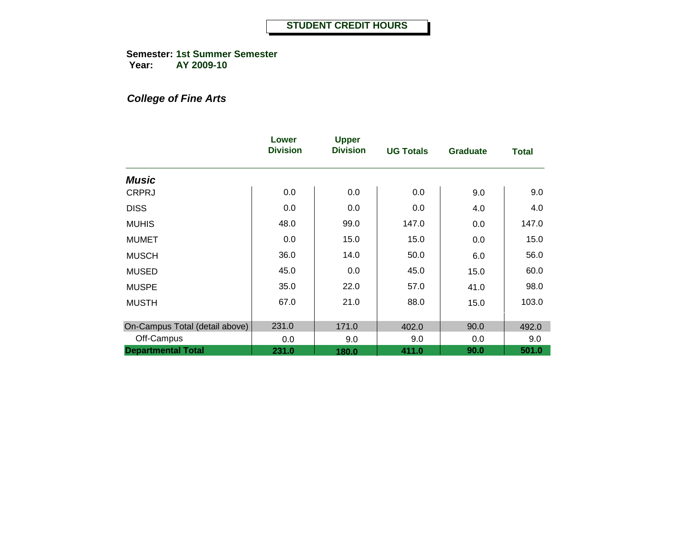**Semester: 1st Summer Semester Year: AY 2009-10**

## *College of Fine Arts*

|                                | Lower<br><b>Division</b> | <b>Upper</b><br><b>Division</b> | <b>UG Totals</b> | <b>Graduate</b> | <b>Total</b> |
|--------------------------------|--------------------------|---------------------------------|------------------|-----------------|--------------|
| <b>Music</b>                   |                          |                                 |                  |                 |              |
| <b>CRPRJ</b>                   | 0.0                      | 0.0                             | 0.0              | 9.0             | 9.0          |
| <b>DISS</b>                    | 0.0                      | 0.0                             | 0.0              | 4.0             | 4.0          |
| <b>MUHIS</b>                   | 48.0                     | 99.0                            | 147.0            | 0.0             | 147.0        |
| <b>MUMET</b>                   | 0.0                      | 15.0                            | 15.0             | 0.0             | 15.0         |
| <b>MUSCH</b>                   | 36.0                     | 14.0                            | 50.0             | 6.0             | 56.0         |
| <b>MUSED</b>                   | 45.0                     | 0.0                             | 45.0             | 15.0            | 60.0         |
| <b>MUSPE</b>                   | 35.0                     | 22.0                            | 57.0             | 41.0            | 98.0         |
| <b>MUSTH</b>                   | 67.0                     | 21.0                            | 88.0             | 15.0            | 103.0        |
| On-Campus Total (detail above) | 231.0                    | 171.0                           | 402.0            | 90.0            | 492.0        |
| Off-Campus                     | 0.0                      | 9.0                             | 9.0              | 0.0             | 9.0          |
| <b>Departmental Total</b>      | 231.0                    | 180.0                           | 411.0            | 90.0            | 501.0        |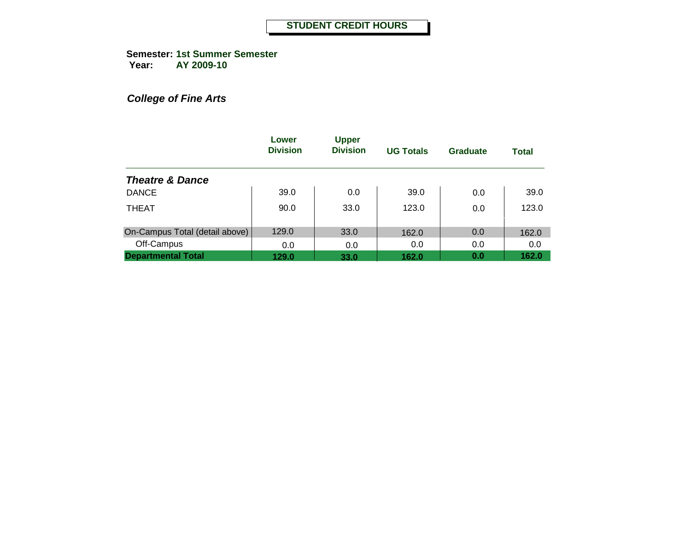**Semester: 1st Summer Semester Year: AY 2009-10**

*College of Fine Arts*

|                                | Lower<br><b>Division</b> | <b>Upper</b><br><b>Division</b> | <b>UG Totals</b> | Graduate | <b>Total</b> |
|--------------------------------|--------------------------|---------------------------------|------------------|----------|--------------|
| <b>Theatre &amp; Dance</b>     |                          |                                 |                  |          |              |
| <b>DANCE</b>                   | 39.0                     | 0.0                             | 39.0             | 0.0      | 39.0         |
| <b>THEAT</b>                   | 90.0                     | 33.0                            | 123.0            | 0.0      | 123.0        |
| On-Campus Total (detail above) | 129.0                    | 33.0                            | 162.0            | 0.0      | 162.0        |
| Off-Campus                     | 0.0                      | 0.0                             | 0.0              | 0.0      | 0.0          |
| <b>Departmental Total</b>      | 129.0                    | 33.0                            | 162.0            | 0.0      | 162.0        |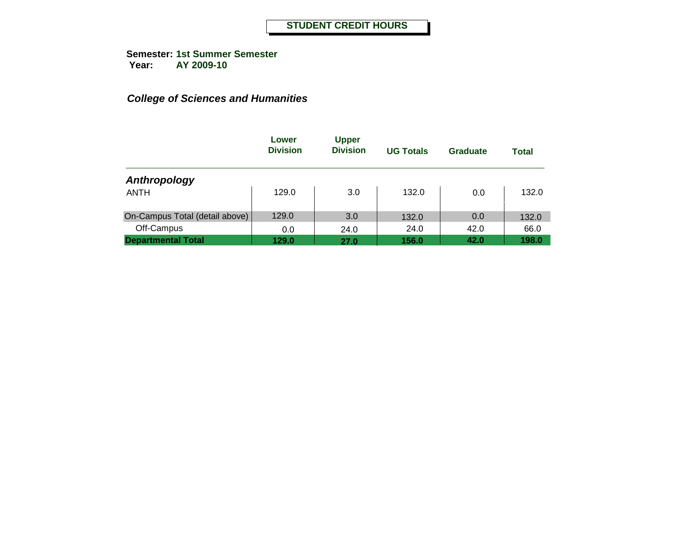|                                | Lower<br><b>Division</b> | <b>Upper</b><br><b>Division</b> | <b>UG Totals</b> | Graduate | <b>Total</b> |
|--------------------------------|--------------------------|---------------------------------|------------------|----------|--------------|
| Anthropology                   |                          |                                 |                  |          |              |
| ANTH                           | 129.0                    | 3.0                             | 132.0            | 0.0      | 132.0        |
| On-Campus Total (detail above) | 129.0                    | 3.0                             | 132.0            | 0.0      | 132.0        |
| Off-Campus                     | 0.0                      | 24.0                            | 24.0             | 42.0     | 66.0         |
| <b>Departmental Total</b>      | 129.0                    | 27.0                            | 156.0            | 42.0     | 198.0        |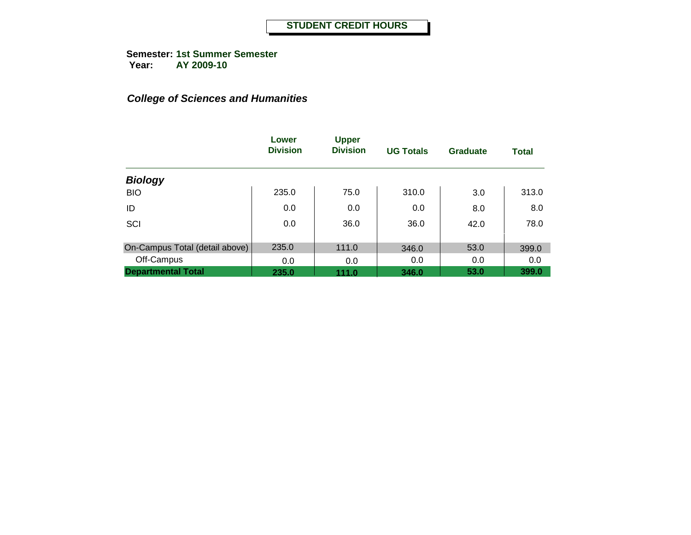**Semester: 1st Summer Semester Year: AY 2009-10**

|                                | Lower<br><b>Division</b> | <b>Upper</b><br><b>Division</b> | <b>UG Totals</b> | <b>Graduate</b> | <b>Total</b> |
|--------------------------------|--------------------------|---------------------------------|------------------|-----------------|--------------|
| <b>Biology</b>                 |                          |                                 |                  |                 |              |
| <b>BIO</b>                     | 235.0                    | 75.0                            | 310.0            | 3.0             | 313.0        |
| ID                             | 0.0                      | 0.0                             | 0.0              | 8.0             | 8.0          |
| SCI                            | 0.0                      | 36.0                            | 36.0             | 42.0            | 78.0         |
| On-Campus Total (detail above) | 235.0                    | 111.0                           | 346.0            | 53.0            | 399.0        |
| Off-Campus                     | 0.0                      | 0.0                             | 0.0              | 0.0             | 0.0          |
| <b>Departmental Total</b>      | 235.0                    | 111.0                           | 346.0            | 53.0            | 399.0        |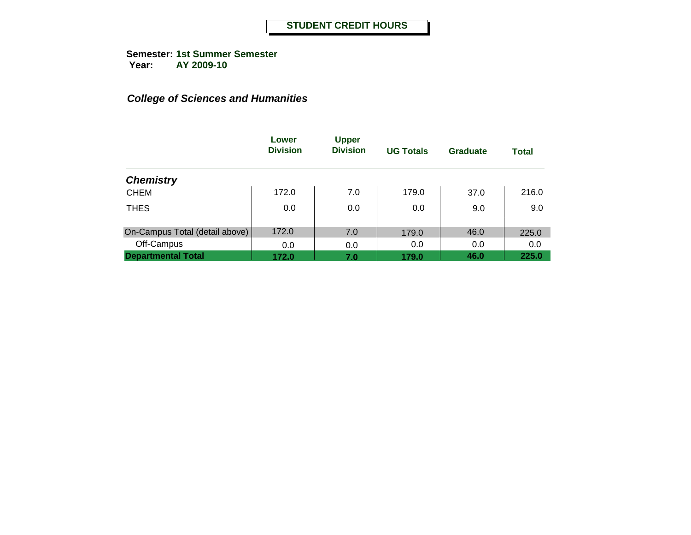**Semester: 1st Summer Semester Year: AY 2009-10**

|                                | Lower<br><b>Division</b> | <b>Upper</b><br><b>Division</b> | <b>UG Totals</b> | <b>Graduate</b> | Total |
|--------------------------------|--------------------------|---------------------------------|------------------|-----------------|-------|
| <b>Chemistry</b>               |                          |                                 |                  |                 |       |
| <b>CHEM</b>                    | 172.0                    | 7.0                             | 179.0            | 37.0            | 216.0 |
| <b>THES</b>                    | 0.0                      | 0.0                             | 0.0              | 9.0             | 9.0   |
| On-Campus Total (detail above) | 172.0                    | 7.0                             | 179.0            | 46.0            | 225.0 |
| Off-Campus                     | 0.0                      | 0.0                             | 0.0              | 0.0             | 0.0   |
| <b>Departmental Total</b>      | 172.0                    | 7.0                             | 179.0            | 46.0            | 225.0 |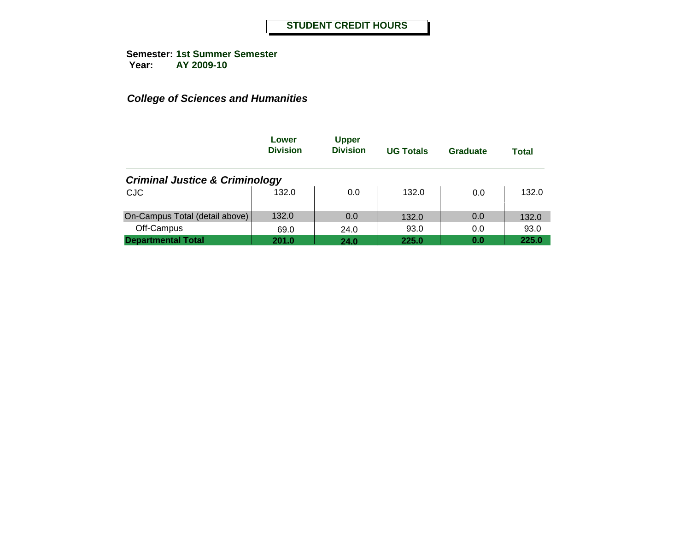|                                           | Lower<br><b>Division</b> | <b>Upper</b><br><b>Division</b> | <b>UG Totals</b> | Graduate | <b>Total</b> |
|-------------------------------------------|--------------------------|---------------------------------|------------------|----------|--------------|
| <b>Criminal Justice &amp; Criminology</b> |                          |                                 |                  |          |              |
| <b>CJC</b>                                | 132.0                    | 0.0                             | 132.0            | 0.0      | 132.0        |
| On-Campus Total (detail above)            | 132.0                    | 0.0                             | 132.0            | 0.0      | 132.0        |
| Off-Campus                                | 69.0                     | 24.0                            | 93.0             | 0.0      | 93.0         |
| <b>Departmental Total</b>                 | 201.0                    | 24.0                            | 225.0            | 0.0      | 225.0        |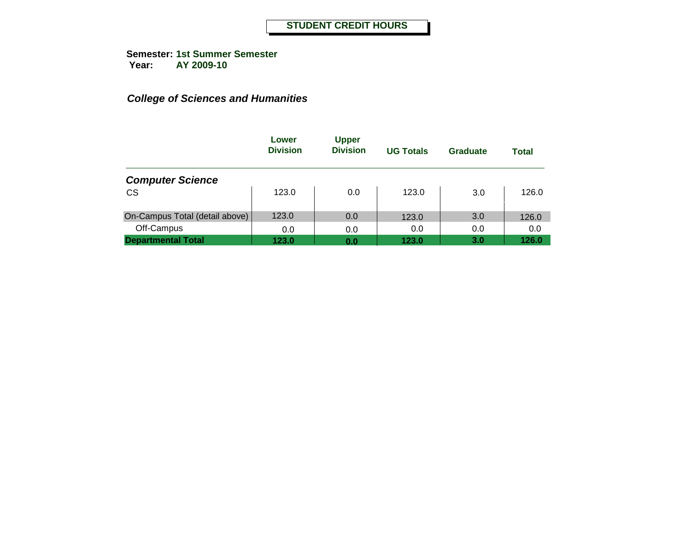|                                | Lower<br><b>Division</b> | <b>Upper</b><br><b>Division</b> | <b>UG Totals</b> | Graduate | <b>Total</b> |
|--------------------------------|--------------------------|---------------------------------|------------------|----------|--------------|
| <b>Computer Science</b>        |                          |                                 |                  |          |              |
| <b>CS</b>                      | 123.0                    | 0.0                             | 123.0            | 3.0      | 126.0        |
| On-Campus Total (detail above) | 123.0                    | 0.0                             | 123.0            | 3.0      | 126.0        |
| Off-Campus                     | 0.0                      | 0.0                             | 0.0              | 0.0      | 0.0          |
| <b>Departmental Total</b>      | 123.0                    | 0.0                             | 123.0            | 3.0      | 126.0        |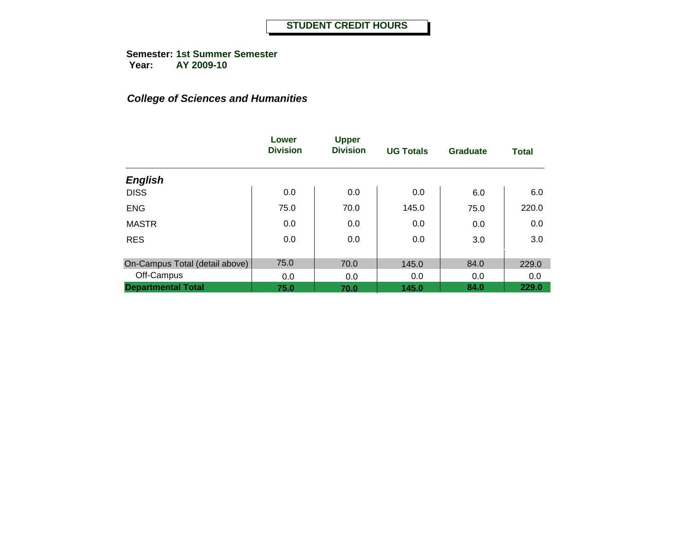**Semester: 1st Summer Semester Year: AY 2009-10**

|                                | Lower<br><b>Division</b> | <b>Upper</b><br><b>Division</b> | <b>UG Totals</b> | <b>Graduate</b> | <b>Total</b> |
|--------------------------------|--------------------------|---------------------------------|------------------|-----------------|--------------|
| <b>English</b>                 |                          |                                 |                  |                 |              |
| <b>DISS</b>                    | 0.0                      | 0.0                             | 0.0              | 6.0             | 6.0          |
| <b>ENG</b>                     | 75.0                     | 70.0                            | 145.0            | 75.0            | 220.0        |
| <b>MASTR</b>                   | 0.0                      | 0.0                             | 0.0              | 0.0             | 0.0          |
| <b>RES</b>                     | 0.0                      | 0.0                             | 0.0              | 3.0             | 3.0          |
| On-Campus Total (detail above) | 75.0                     | 70.0                            | 145.0            | 84.0            | 229.0        |
| Off-Campus                     | 0.0                      | 0.0                             | 0.0              | 0.0             | 0.0          |
| <b>Departmental Total</b>      | 75.0                     | 70.0                            | 145.0            | 84.0            | 229.0        |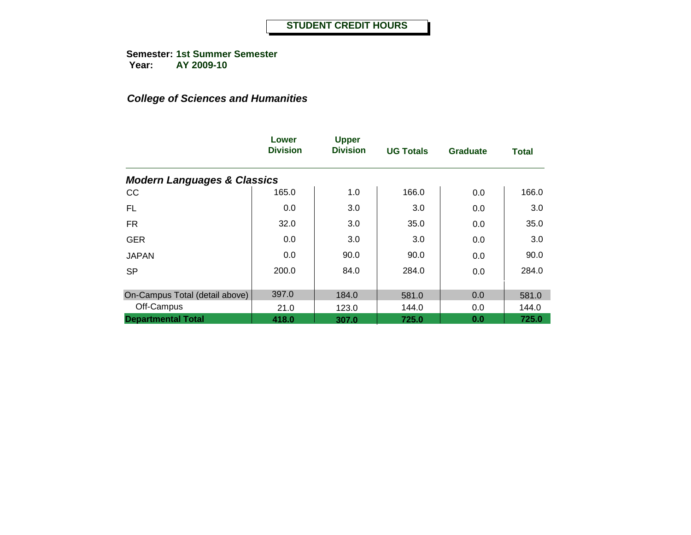**Semester: 1st Summer Semester Year: AY 2009-10**

|                                        | Lower<br><b>Division</b> | <b>Upper</b><br><b>Division</b> | <b>UG Totals</b> | <b>Graduate</b> | <b>Total</b> |
|----------------------------------------|--------------------------|---------------------------------|------------------|-----------------|--------------|
| <b>Modern Languages &amp; Classics</b> |                          |                                 |                  |                 |              |
| CC                                     | 165.0                    | 1.0                             | 166.0            | 0.0             | 166.0        |
| FL.                                    | 0.0                      | 3.0                             | 3.0              | 0.0             | 3.0          |
| <b>FR</b>                              | 32.0                     | 3.0                             | 35.0             | 0.0             | 35.0         |
| <b>GER</b>                             | 0.0                      | 3.0                             | 3.0              | 0.0             | 3.0          |
| <b>JAPAN</b>                           | 0.0                      | 90.0                            | 90.0             | 0.0             | 90.0         |
| <b>SP</b>                              | 200.0                    | 84.0                            | 284.0            | 0.0             | 284.0        |
| On-Campus Total (detail above)         | 397.0                    | 184.0                           | 581.0            | 0.0             | 581.0        |
| Off-Campus                             | 21.0                     | 123.0                           | 144.0            | 0.0             | 144.0        |
| <b>Departmental Total</b>              | 418.0                    | 307.0                           | 725.0            | 0.0             | 725.0        |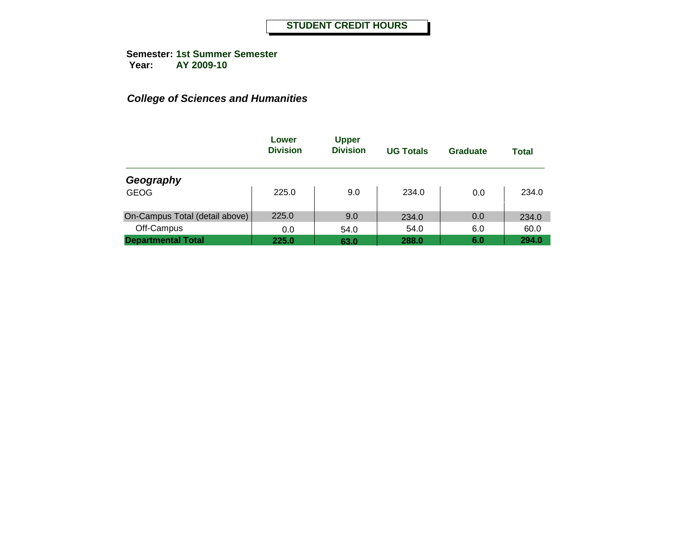|                                | Lower<br><b>Division</b> | <b>Upper</b><br><b>Division</b> | <b>UG Totals</b> | Graduate | <b>Total</b> |
|--------------------------------|--------------------------|---------------------------------|------------------|----------|--------------|
| Geography                      |                          |                                 |                  |          |              |
| <b>GEOG</b>                    | 225.0                    | 9.0                             | 234.0            | 0.0      | 234.0        |
| On-Campus Total (detail above) | 225.0                    | 9.0                             | 234.0            | 0.0      | 234.0        |
| Off-Campus                     | 0.0                      | 54.0                            | 54.0             | 6.0      | 60.0         |
| <b>Departmental Total</b>      | 225.0                    | 63.0                            | 288.0            | 6.0      | 294.0        |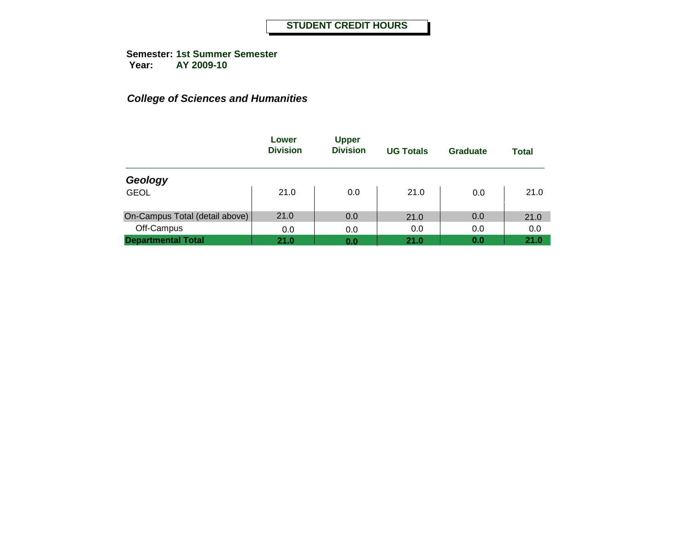|                                | Lower<br><b>Division</b> | <b>Upper</b><br><b>Division</b> | <b>UG Totals</b> | Graduate | <b>Total</b> |
|--------------------------------|--------------------------|---------------------------------|------------------|----------|--------------|
| Geology                        |                          |                                 |                  |          |              |
| <b>GEOL</b>                    | 21.0                     | 0.0                             | 21.0             | 0.0      | 21.0         |
| On-Campus Total (detail above) | 21.0                     | 0.0                             | 21.0             | 0.0      | 21.0         |
| Off-Campus                     | 0.0                      | 0.0                             | 0.0              | 0.0      | 0.0          |
| <b>Departmental Total</b>      | 21.0                     | 0.0                             | 21.0             | 0.0      | 21.0         |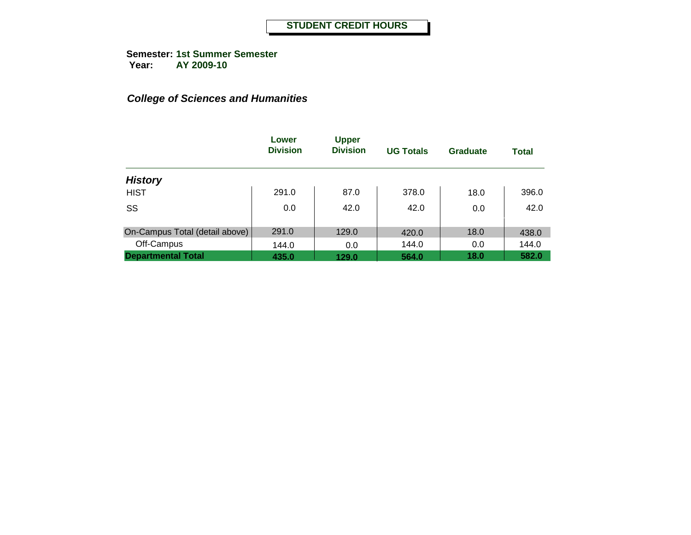**Semester: 1st Summer Semester Year: AY 2009-10**

|                                | Lower<br><b>Division</b> | <b>Upper</b><br><b>Division</b> | <b>UG Totals</b> | <b>Graduate</b> | <b>Total</b> |
|--------------------------------|--------------------------|---------------------------------|------------------|-----------------|--------------|
| <b>History</b>                 |                          |                                 |                  |                 |              |
| <b>HIST</b>                    | 291.0                    | 87.0                            | 378.0            | 18.0            | 396.0        |
| SS                             | 0.0                      | 42.0                            | 42.0             | 0.0             | 42.0         |
| On-Campus Total (detail above) | 291.0                    | 129.0                           | 420.0            | 18.0            | 438.0        |
| Off-Campus                     | 144.0                    | 0.0                             | 144.0            | 0.0             | 144.0        |
| <b>Departmental Total</b>      | 435.0                    | 129.0                           | 564.0            | 18.0            | 582.0        |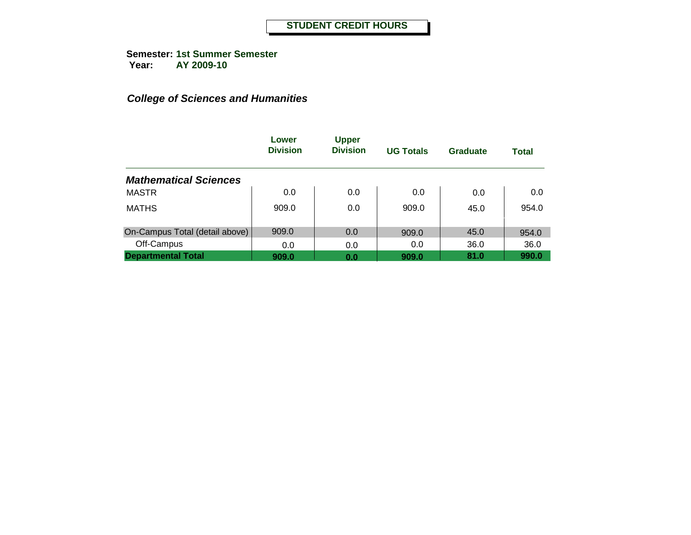|                                | Lower<br><b>Division</b> | <b>Upper</b><br><b>Division</b> | <b>UG Totals</b> | Graduate | <b>Total</b> |
|--------------------------------|--------------------------|---------------------------------|------------------|----------|--------------|
| <b>Mathematical Sciences</b>   |                          |                                 |                  |          |              |
| <b>MASTR</b>                   | 0.0                      | 0.0                             | 0.0              | 0.0      | 0.0          |
| <b>MATHS</b>                   | 909.0                    | 0.0                             | 909.0            | 45.0     | 954.0        |
| On-Campus Total (detail above) | 909.0                    | 0.0                             | 909.0            | 45.0     | 954.0        |
| Off-Campus                     | 0.0                      | 0.0                             | 0.0              | 36.0     | 36.0         |
| <b>Departmental Total</b>      | 909.0                    | 0.0                             | 909.0            | 81.0     | 990.0        |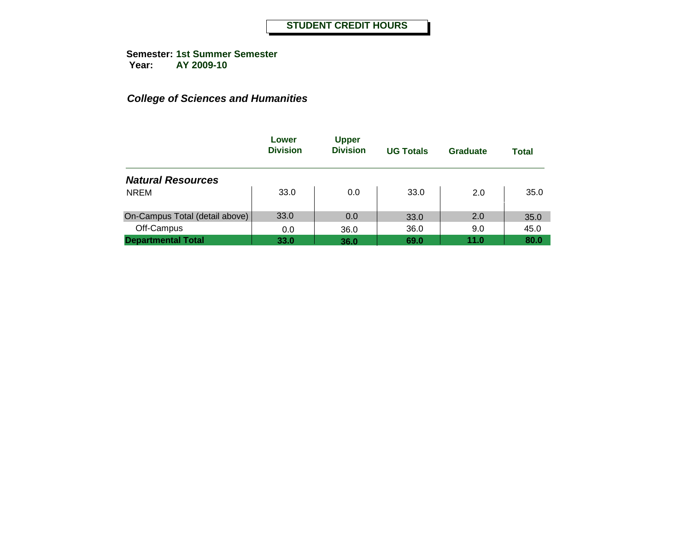|                                | Lower<br><b>Division</b> | <b>Upper</b><br><b>Division</b> | <b>UG Totals</b> | Graduate | <b>Total</b> |
|--------------------------------|--------------------------|---------------------------------|------------------|----------|--------------|
| <b>Natural Resources</b>       |                          |                                 |                  |          |              |
| <b>NREM</b>                    | 33.0                     | 0.0                             | 33.0             | 2.0      | 35.0         |
| On-Campus Total (detail above) | 33.0                     | 0.0                             | 33.0             | 2.0      | 35.0         |
| Off-Campus                     | 0.0                      | 36.0                            | 36.0             | 9.0      | 45.0         |
| <b>Departmental Total</b>      | 33.0                     | 36.0                            | 69.0             | 11.0     | 80.0         |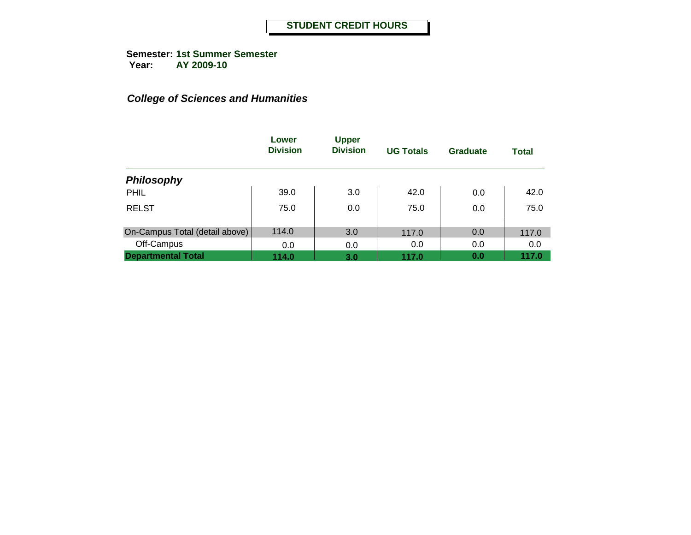**Semester: 1st Summer Semester Year: AY 2009-10**

|                                | Lower<br><b>Division</b> | <b>Upper</b><br><b>Division</b> | <b>UG Totals</b> | <b>Graduate</b> | <b>Total</b> |
|--------------------------------|--------------------------|---------------------------------|------------------|-----------------|--------------|
| <b>Philosophy</b>              |                          |                                 |                  |                 |              |
| PHIL                           | 39.0                     | 3.0                             | 42.0             | 0.0             | 42.0         |
| <b>RELST</b>                   | 75.0                     | 0.0                             | 75.0             | 0.0             | 75.0         |
| On-Campus Total (detail above) | 114.0                    | 3.0                             | 117.0            | 0.0             | 117.0        |
| Off-Campus                     | 0.0                      | 0.0                             | 0.0              | 0.0             | 0.0          |
| <b>Departmental Total</b>      | 114.0                    | 3.0                             | 117.0            | 0.0             | 117.0        |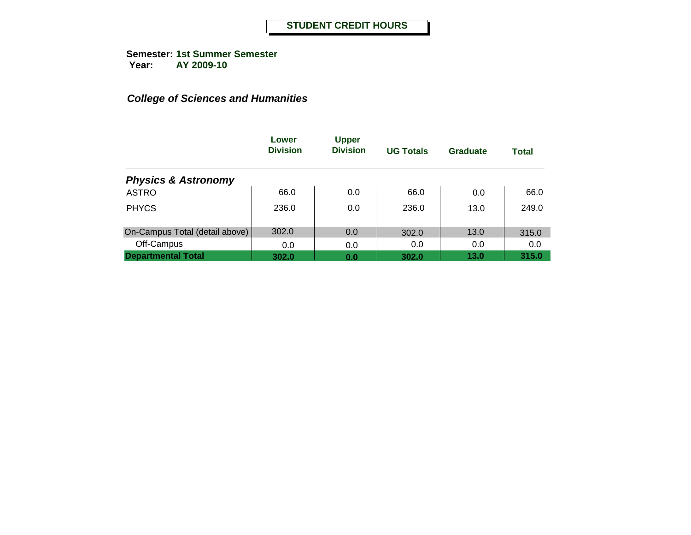**Semester: 1st Summer Semester Year: AY 2009-10**

|                                | Lower<br><b>Division</b> | <b>Upper</b><br><b>Division</b> | <b>UG Totals</b> | Graduate | <b>Total</b> |
|--------------------------------|--------------------------|---------------------------------|------------------|----------|--------------|
| <b>Physics &amp; Astronomy</b> |                          |                                 |                  |          |              |
| <b>ASTRO</b>                   | 66.0                     | 0.0                             | 66.0             | 0.0      | 66.0         |
| <b>PHYCS</b>                   | 236.0                    | 0.0                             | 236.0            | 13.0     | 249.0        |
| On-Campus Total (detail above) | 302.0                    | 0.0                             | 302.0            | 13.0     | 315.0        |
| Off-Campus                     | 0.0                      | 0.0                             | 0.0              | 0.0      | 0.0          |
| <b>Departmental Total</b>      | 302.0                    | 0.0                             | 302.0            | 13.0     | 315.0        |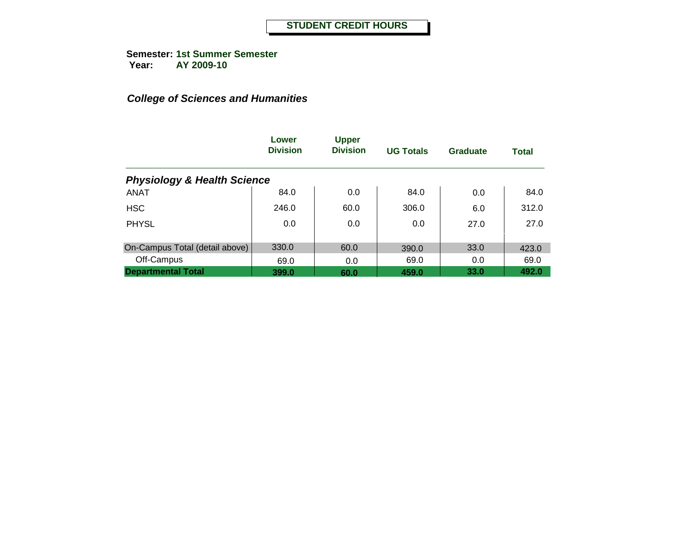**Semester: 1st Summer Semester Year: AY 2009-10**

|                                        | Lower<br><b>Division</b> | <b>Upper</b><br><b>Division</b> | <b>UG Totals</b> | <b>Graduate</b> | <b>Total</b> |
|----------------------------------------|--------------------------|---------------------------------|------------------|-----------------|--------------|
| <b>Physiology &amp; Health Science</b> |                          |                                 |                  |                 |              |
| <b>ANAT</b>                            | 84.0                     | 0.0                             | 84.0             | 0.0             | 84.0         |
| <b>HSC</b>                             | 246.0                    | 60.0                            | 306.0            | 6.0             | 312.0        |
| <b>PHYSL</b>                           | 0.0                      | 0.0                             | 0.0              | 27.0            | 27.0         |
| On-Campus Total (detail above)         | 330.0                    | 60.0                            | 390.0            | 33.0            | 423.0        |
| Off-Campus                             | 69.0                     | 0.0                             | 69.0             | 0.0             | 69.0         |
| <b>Departmental Total</b>              | 399.0                    | 60.0                            | 459.0            | 33.0            | 492.0        |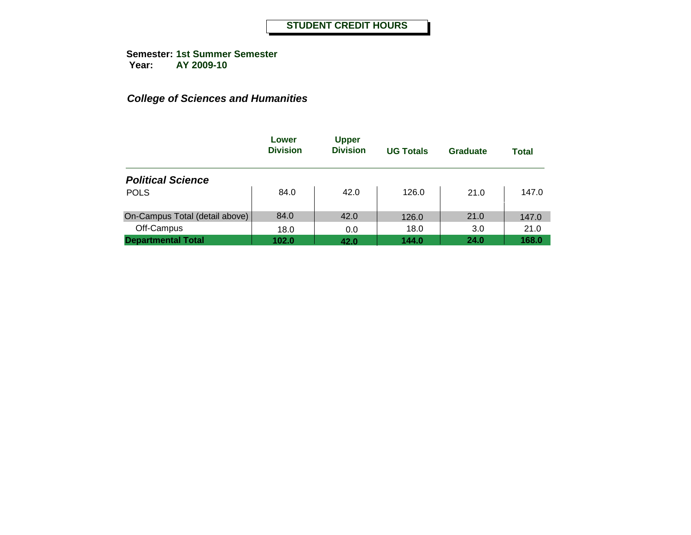|                                | Lower<br><b>Division</b> | <b>Upper</b><br><b>Division</b> | <b>UG Totals</b> | Graduate | <b>Total</b> |
|--------------------------------|--------------------------|---------------------------------|------------------|----------|--------------|
| <b>Political Science</b>       |                          |                                 |                  |          |              |
| <b>POLS</b>                    | 84.0                     | 42.0                            | 126.0            | 21.0     | 147.0        |
| On-Campus Total (detail above) | 84.0                     | 42.0                            | 126.0            | 21.0     | 147.0        |
| Off-Campus                     | 18.0                     | 0.0                             | 18.0             | 3.0      | 21.0         |
| <b>Departmental Total</b>      | 102.0                    | 42.0                            | 144.0            | 24.0     | 168.0        |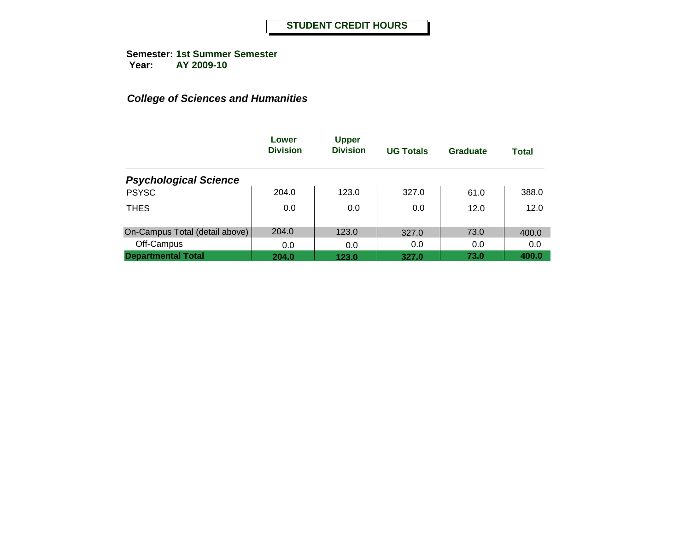**Semester: 1st Summer Semester Year: AY 2009-10**

|                                | Lower<br><b>Division</b> | <b>Upper</b><br><b>Division</b> | <b>UG Totals</b> | Graduate | <b>Total</b> |
|--------------------------------|--------------------------|---------------------------------|------------------|----------|--------------|
| <b>Psychological Science</b>   |                          |                                 |                  |          |              |
| <b>PSYSC</b>                   | 204.0                    | 123.0                           | 327.0            | 61.0     | 388.0        |
| <b>THES</b>                    | 0.0                      | 0.0                             | 0.0              | 12.0     | 12.0         |
| On-Campus Total (detail above) | 204.0                    | 123.0                           | 327.0            | 73.0     | 400.0        |
| Off-Campus                     | 0.0                      | 0.0                             | 0.0              | 0.0      | 0.0          |
| <b>Departmental Total</b>      | 204.0                    | 123.0                           | 327.0            | 73.0     | 400.0        |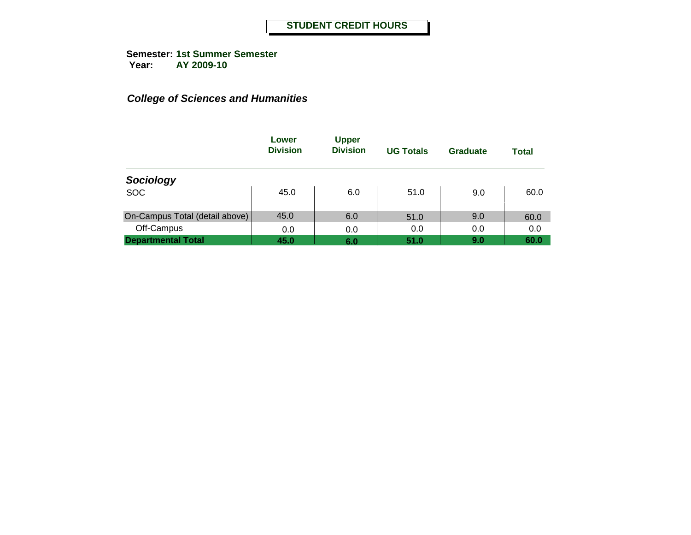|                                | Lower<br><b>Division</b> | <b>Upper</b><br><b>Division</b> | <b>UG Totals</b> | Graduate | <b>Total</b> |
|--------------------------------|--------------------------|---------------------------------|------------------|----------|--------------|
| Sociology                      |                          |                                 |                  |          |              |
| <b>SOC</b>                     | 45.0                     | 6.0                             | 51.0             | 9.0      | 60.0         |
| On-Campus Total (detail above) | 45.0                     | 6.0                             | 51.0             | 9.0      | 60.0         |
| Off-Campus                     | 0.0                      | 0.0                             | 0.0              | 0.0      | 0.0          |
| <b>Departmental Total</b>      | 45.0                     | 6.0                             | 51.0             | 9.0      | 60.0         |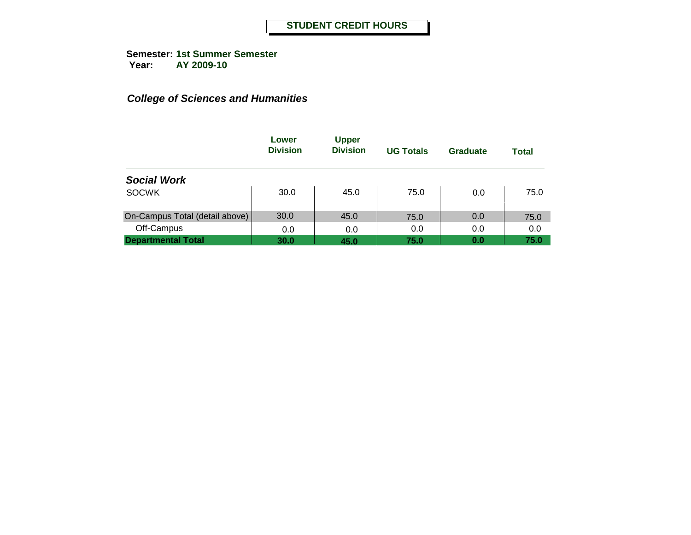|                                | Lower<br><b>Division</b> | <b>Upper</b><br><b>Division</b> | <b>UG Totals</b> | Graduate | <b>Total</b> |
|--------------------------------|--------------------------|---------------------------------|------------------|----------|--------------|
| <b>Social Work</b>             |                          |                                 |                  |          |              |
| <b>SOCWK</b>                   | 30.0                     | 45.0                            | 75.0             | 0.0      | 75.0         |
| On-Campus Total (detail above) | 30.0                     | 45.0                            | 75.0             | 0.0      | 75.0         |
| Off-Campus                     | 0.0                      | 0.0                             | 0.0              | 0.0      | 0.0          |
| <b>Departmental Total</b>      | 30.0                     | 45.0                            | 75.0             | 0.0      | 75.0         |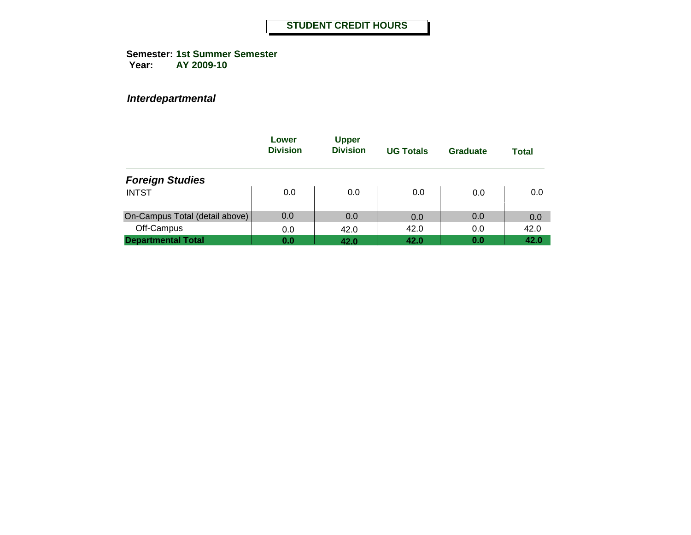**Semester: 1st Summer Semester Year: AY 2009-10**

|                                | Lower<br><b>Division</b> | <b>Upper</b><br><b>Division</b> | <b>UG Totals</b> | Graduate | Total |
|--------------------------------|--------------------------|---------------------------------|------------------|----------|-------|
| <b>Foreign Studies</b>         |                          |                                 |                  |          |       |
| <b>INTST</b>                   | 0.0                      | 0.0                             | 0.0              | 0.0      | 0.0   |
| On-Campus Total (detail above) | 0.0                      | 0.0                             | 0.0              | 0.0      | 0.0   |
| Off-Campus                     | 0.0                      | 42.0                            | 42.0             | 0.0      | 42.0  |
| <b>Departmental Total</b>      | 0.0                      | 42.0                            | 42.0             | 0.0      | 42.0  |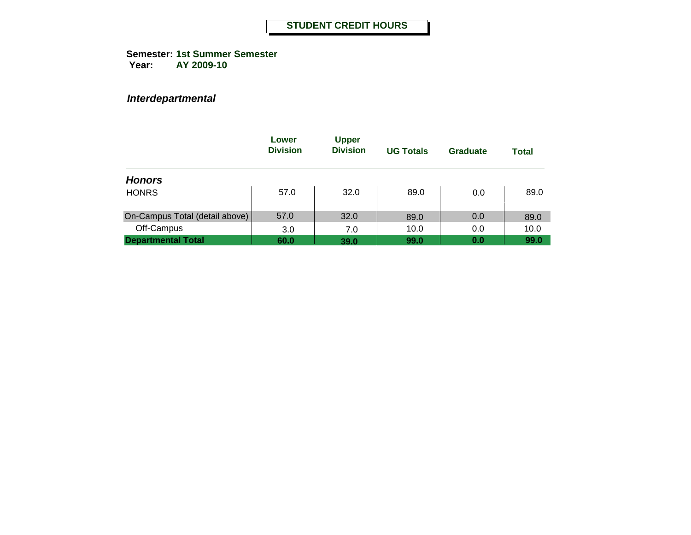**Semester: 1st Summer Semester Year: AY 2009-10**

|                                | Lower<br><b>Division</b> | <b>Upper</b><br><b>Division</b> | <b>UG Totals</b> | Graduate | Total |
|--------------------------------|--------------------------|---------------------------------|------------------|----------|-------|
| <b>Honors</b>                  |                          |                                 |                  |          |       |
| <b>HONRS</b>                   | 57.0                     | 32.0                            | 89.0             | 0.0      | 89.0  |
| On-Campus Total (detail above) | 57.0                     | 32.0                            | 89.0             | 0.0      | 89.0  |
| Off-Campus                     | 3.0                      | 7.0                             | 10.0             | 0.0      | 10.0  |
| <b>Departmental Total</b>      | 60.0                     | 39.0                            | 99.0             | 0.0      | 99.0  |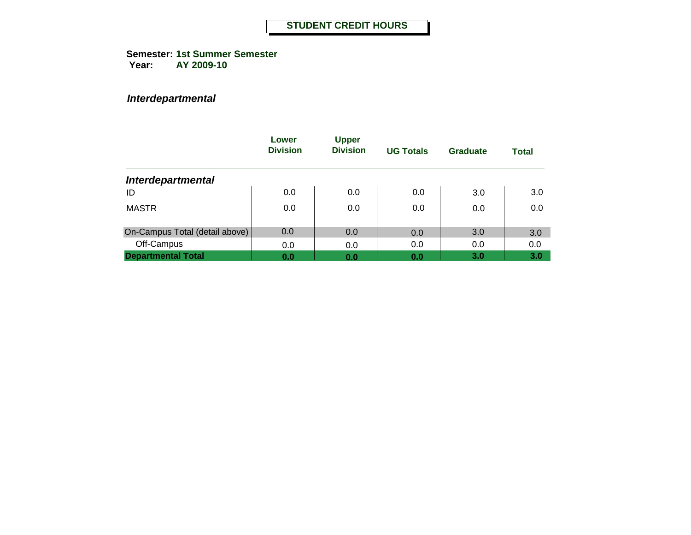**Semester: 1st Summer Semester Year: AY 2009-10**

|                                | Lower<br><b>Division</b> | <b>Upper</b><br><b>Division</b> | <b>UG Totals</b> | Graduate | <b>Total</b> |
|--------------------------------|--------------------------|---------------------------------|------------------|----------|--------------|
| <b>Interdepartmental</b>       |                          |                                 |                  |          |              |
| ID                             | 0.0                      | 0.0                             | 0.0              | 3.0      | 3.0          |
| <b>MASTR</b>                   | 0.0                      | 0.0                             | 0.0              | 0.0      | 0.0          |
| On-Campus Total (detail above) | 0.0                      | 0.0                             | 0.0              | 3.0      | 3.0          |
| Off-Campus                     | 0.0                      | 0.0                             | 0.0              | 0.0      | 0.0          |
| <b>Departmental Total</b>      | 0.0                      | 0.0                             | 0.0              | 3.0      | 3.0          |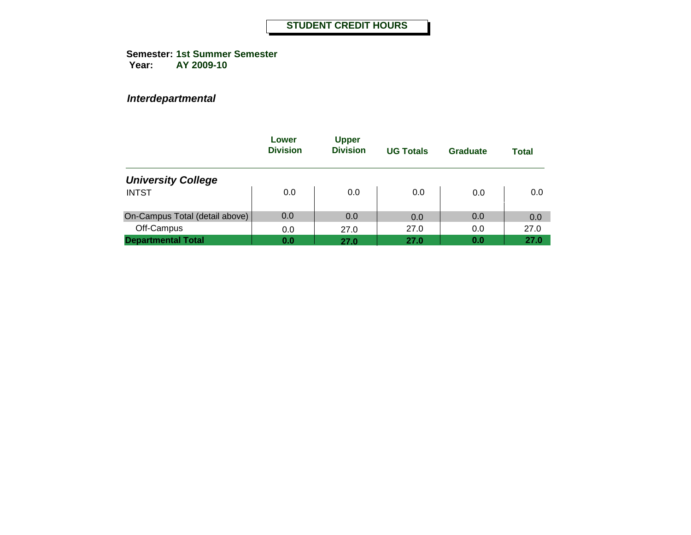**Semester: 1st Summer Semester Year: AY 2009-10**

|                                | Lower<br><b>Division</b> | <b>Upper</b><br><b>Division</b> | <b>UG Totals</b> | Graduate | Total |
|--------------------------------|--------------------------|---------------------------------|------------------|----------|-------|
| <b>University College</b>      |                          |                                 |                  |          |       |
| <b>INTST</b>                   | 0.0                      | 0.0                             | 0.0              | 0.0      | 0.0   |
| On-Campus Total (detail above) | 0.0                      | 0.0                             | 0.0              | 0.0      | 0.0   |
| Off-Campus                     | 0.0                      | 27.0                            | 27.0             | 0.0      | 27.0  |
| <b>Departmental Total</b>      | 0.0                      | 27.0                            | 27.0             | 0.0      | 27.0  |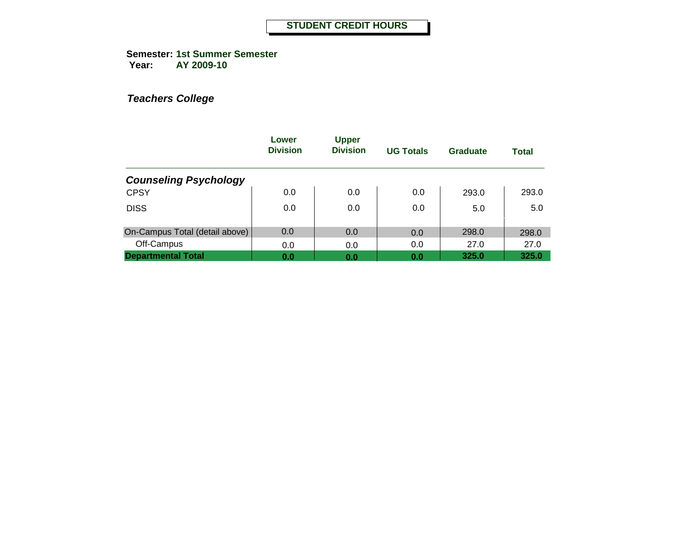**Semester: 1st Summer Semester Year: AY 2009-10**

|                                | Lower<br><b>Division</b> | <b>Upper</b><br><b>Division</b> | <b>UG Totals</b> | Graduate | <b>Total</b> |
|--------------------------------|--------------------------|---------------------------------|------------------|----------|--------------|
| <b>Counseling Psychology</b>   |                          |                                 |                  |          |              |
| <b>CPSY</b>                    | 0.0                      | 0.0                             | 0.0              | 293.0    | 293.0        |
| <b>DISS</b>                    | 0.0                      | 0.0                             | 0.0              | 5.0      | 5.0          |
| On-Campus Total (detail above) | 0.0                      | 0.0                             | 0.0              | 298.0    | 298.0        |
| Off-Campus                     | 0.0                      | 0.0                             | 0.0              | 27.0     | 27.0         |
| <b>Departmental Total</b>      | 0.0                      | 0.0                             | 0.0              | 325.0    | 325.0        |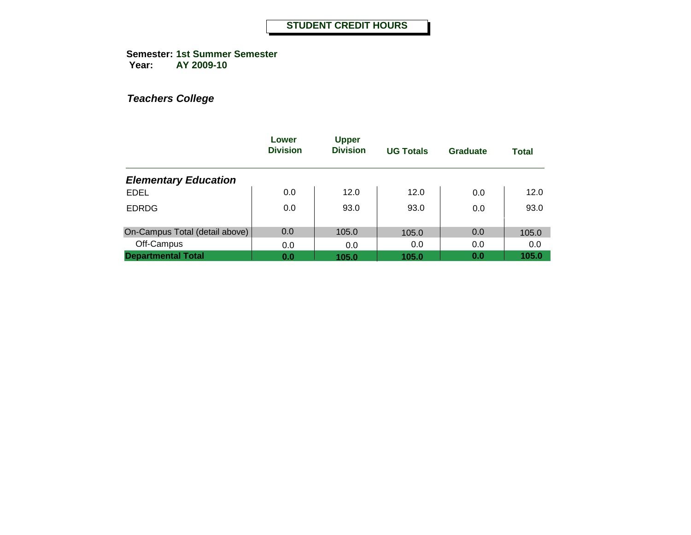**Semester: 1st Summer Semester Year: AY 2009-10**

|                                | Lower<br><b>Division</b> | <b>Upper</b><br><b>Division</b> | <b>UG Totals</b> | Graduate | <b>Total</b> |
|--------------------------------|--------------------------|---------------------------------|------------------|----------|--------------|
| <b>Elementary Education</b>    |                          |                                 |                  |          |              |
| <b>EDEL</b>                    | 0.0                      | 12.0                            | 12.0             | 0.0      | 12.0         |
| <b>EDRDG</b>                   | 0.0                      | 93.0                            | 93.0             | 0.0      | 93.0         |
| On-Campus Total (detail above) | 0.0                      | 105.0                           | 105.0            | 0.0      | 105.0        |
| Off-Campus                     | 0.0                      | 0.0                             | 0.0              | 0.0      | 0.0          |
| <b>Departmental Total</b>      | 0.0                      | 105.0                           | 105.0            | 0.0      | 105.0        |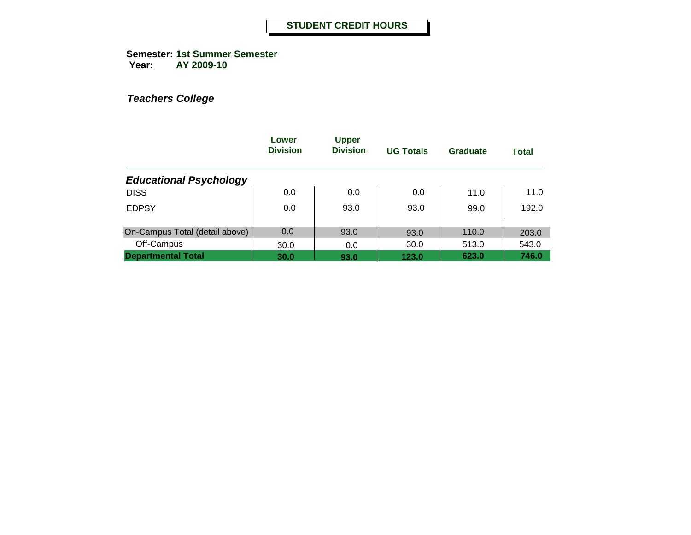**Semester: 1st Summer Semester Year: AY 2009-10**

|                                | Lower<br><b>Division</b> | <b>Upper</b><br><b>Division</b> | <b>UG Totals</b> | Graduate | <b>Total</b> |
|--------------------------------|--------------------------|---------------------------------|------------------|----------|--------------|
| <b>Educational Psychology</b>  |                          |                                 |                  |          |              |
| <b>DISS</b>                    | 0.0                      | 0.0                             | 0.0              | 11.0     | 11.0         |
| <b>EDPSY</b>                   | 0.0                      | 93.0                            | 93.0             | 99.0     | 192.0        |
| On-Campus Total (detail above) | 0.0                      | 93.0                            | 93.0             | 110.0    | 203.0        |
| Off-Campus                     | 30.0                     | 0.0                             | 30.0             | 513.0    | 543.0        |
| <b>Departmental Total</b>      | 30.0                     | 93.0                            | 123.0            | 623.0    | 746.0        |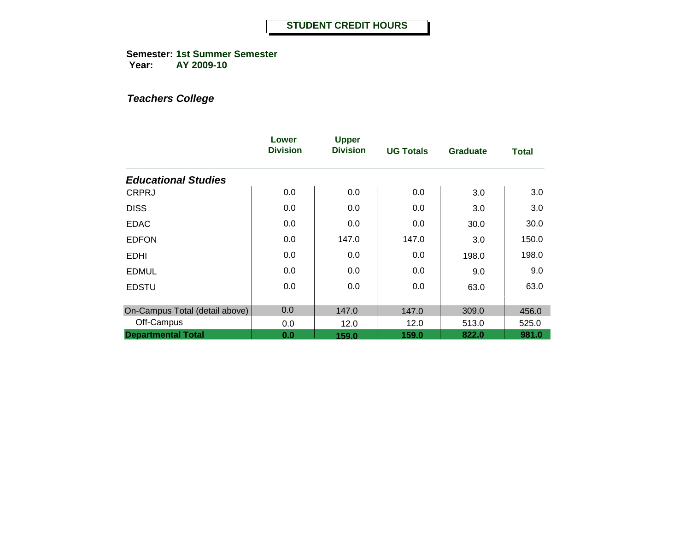**Semester: 1st Summer Semester Year: AY 2009-10**

|                                | Lower<br><b>Division</b> | <b>Upper</b><br><b>Division</b> | <b>UG Totals</b> | <b>Graduate</b> | <b>Total</b> |
|--------------------------------|--------------------------|---------------------------------|------------------|-----------------|--------------|
| <b>Educational Studies</b>     |                          |                                 |                  |                 |              |
| <b>CRPRJ</b>                   | 0.0                      | 0.0                             | 0.0              | 3.0             | 3.0          |
| <b>DISS</b>                    | 0.0                      | 0.0                             | 0.0              | 3.0             | 3.0          |
| <b>EDAC</b>                    | 0.0                      | 0.0                             | 0.0              | 30.0            | 30.0         |
| <b>EDFON</b>                   | 0.0                      | 147.0                           | 147.0            | 3.0             | 150.0        |
| <b>EDHI</b>                    | 0.0                      | 0.0                             | 0.0              | 198.0           | 198.0        |
| <b>EDMUL</b>                   | 0.0                      | 0.0                             | 0.0              | 9.0             | 9.0          |
| <b>EDSTU</b>                   | 0.0                      | 0.0                             | 0.0              | 63.0            | 63.0         |
| On-Campus Total (detail above) | 0.0                      | 147.0                           | 147.0            | 309.0           | 456.0        |
| Off-Campus                     | 0.0                      | 12.0                            | 12.0             | 513.0           | 525.0        |
| <b>Departmental Total</b>      | 0.0                      | 159.0                           | 159.0            | 822.0           | 981.0        |